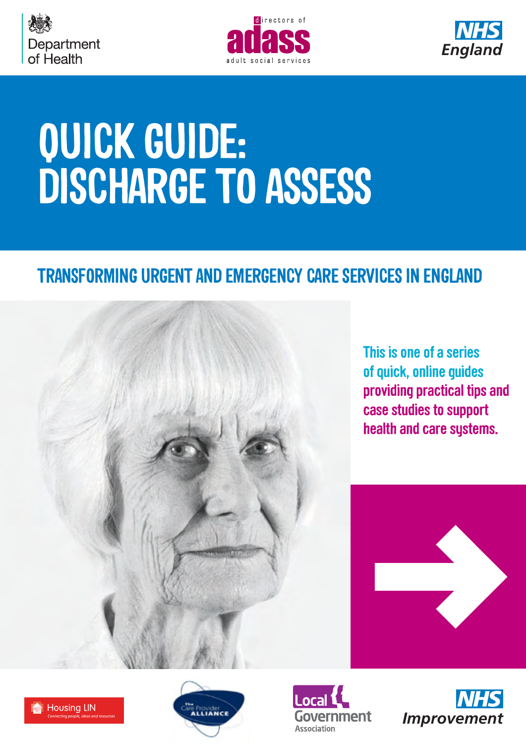





# **QUICK GUIDE: DISCHARGE TO ASSESS**

### **TRANSFORMING URGENT AND EMERGENCY CARE SERVICES IN ENGLAND**



**[This is one of a series](http://www.nhs.uk/quickguides)  [of quick, online guides](http://www.nhs.uk/quickguides) providing practical tips and case studies to support health and care systems.**









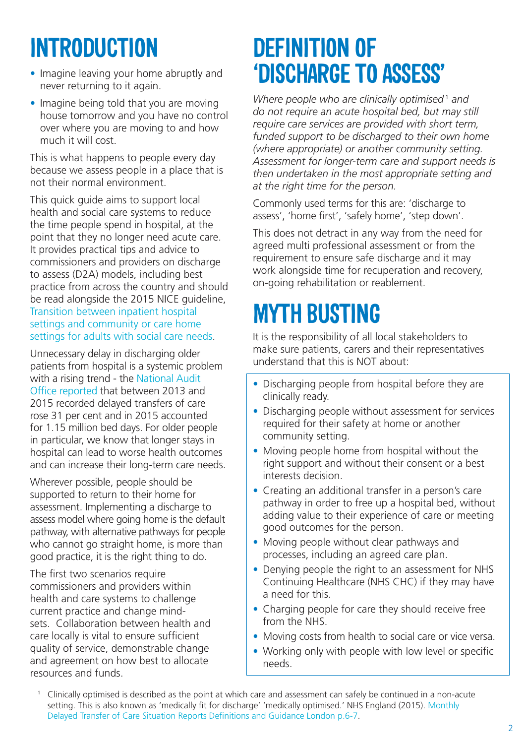### **INTRODUCTION**

- Imagine leaving your home abruptly and never returning to it again.
- Imagine being told that you are moving house tomorrow and you have no control over where you are moving to and how much it will cost.

This is what happens to people every day because we assess people in a place that is not their normal environment.

This quick guide aims to support local health and social care systems to reduce the time people spend in hospital, at the point that they no longer need acute care. It provides practical tips and advice to commissioners and providers on discharge to assess (D2A) models, including best practice from across the country and should be read alongside the 2015 NICE guideline, [Transition between inpatient hospital](https://www.nice.org.uk/guidance/ng27/resources/transition-between-inpatient-hospital-settings-and-community-or-care-home-settings-for-adults-with-social-care-needs-1837336935877)  [settings and community or care home](https://www.nice.org.uk/guidance/ng27/resources/transition-between-inpatient-hospital-settings-and-community-or-care-home-settings-for-adults-with-social-care-needs-1837336935877)  [settings for adults with social care needs](https://www.nice.org.uk/guidance/ng27/resources/transition-between-inpatient-hospital-settings-and-community-or-care-home-settings-for-adults-with-social-care-needs-1837336935877).

Unnecessary delay in discharging older patients from hospital is a systemic problem with a rising trend - the [National Audit](https://www.nao.org.uk/wp-content/uploads/2015/12/Discharging-older-patients-from-hospital.pdf)  [Office reported](https://www.nao.org.uk/wp-content/uploads/2015/12/Discharging-older-patients-from-hospital.pdf) that between 2013 and 2015 recorded delayed transfers of care rose 31 per cent and in 2015 accounted for 1.15 million bed days. For older people in particular, we know that longer stays in hospital can lead to worse health outcomes and can increase their long-term care needs.

Wherever possible, people should be supported to return to their home for assessment. Implementing a discharge to assess model where going home is the default pathway, with alternative pathways for people who cannot go straight home, is more than good practice, it is the right thing to do.

The first two scenarios require commissioners and providers within health and care systems to challenge current practice and change mindsets. Collaboration between health and care locally is vital to ensure sufficient quality of service, demonstrable change and agreement on how best to allocate resources and funds.

### **DEFINITION OF 'DISCHARGE TO ASSESS'**

Where people who are clinically optimised<sup>1</sup> and *do not require an acute hospital bed, but may still require care services are provided with short term, funded support to be discharged to their own home (where appropriate) or another community setting. Assessment for longer-term care and support needs is then undertaken in the most appropriate setting and at the right time for the person.* 

Commonly used terms for this are: 'discharge to assess', 'home first', 'safely home', 'step down'.

This does not detract in any way from the need for agreed multi professional assessment or from the requirement to ensure safe discharge and it may work alongside time for recuperation and recovery, on-going rehabilitation or reablement.

### **MYTH BUSTING**

It is the responsibility of all local stakeholders to make sure patients, carers and their representatives understand that this is NOT about:

- Discharging people from hospital before they are clinically ready.
- Discharging people without assessment for services required for their safety at home or another community setting.
- Moving people home from hospital without the right support and without their consent or a best interests decision.
- Creating an additional transfer in a person's care pathway in order to free up a hospital bed, without adding value to their experience of care or meeting good outcomes for the person.
- Moving people without clear pathways and processes, including an agreed care plan.
- Denving people the right to an assessment for NHS Continuing Healthcare (NHS CHC) if they may have a need for this.
- Charging people for care they should receive free from the NHS.
- Moving costs from health to social care or vice versa.
- Working only with people with low level or specific needs.

<sup>1</sup> Clinically optimised is described as the point at which care and assessment can safely be continued in a non-acute setting. This is also known as 'medically fit for discharge' 'medically optimised.' NHS England (2015). [Monthly](https://www.england.nhs.uk/statistics/wp-content/uploads/sites/2/2015/10/mnth-Sitreps-def-dtoc-v1.09.pdf)  [Delayed Transfer of Care Situation Reports Definitions and Guidance London p.6-7](https://www.england.nhs.uk/statistics/wp-content/uploads/sites/2/2015/10/mnth-Sitreps-def-dtoc-v1.09.pdf).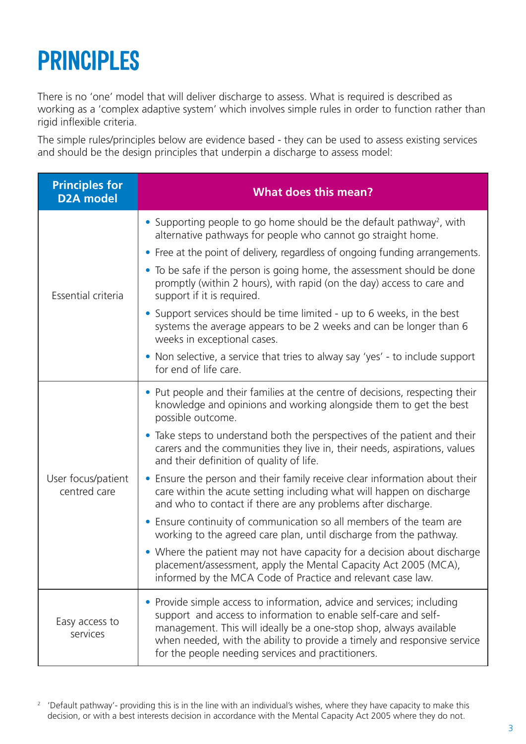### **PRINCIPLES**

There is no 'one' model that will deliver discharge to assess. What is required is described as working as a 'complex adaptive system' which involves simple rules in order to function rather than rigid inflexible criteria.

The simple rules/principles below are evidence based - they can be used to assess existing services and should be the design principles that underpin a discharge to assess model:

| <b>Principles for</b><br><b>D2A</b> model | <b>What does this mean?</b>                                                                                                                                                                                                                                                                                                                     |
|-------------------------------------------|-------------------------------------------------------------------------------------------------------------------------------------------------------------------------------------------------------------------------------------------------------------------------------------------------------------------------------------------------|
| Essential criteria                        | • Supporting people to go home should be the default pathway <sup>2</sup> , with<br>alternative pathways for people who cannot go straight home.                                                                                                                                                                                                |
|                                           | • Free at the point of delivery, regardless of ongoing funding arrangements.                                                                                                                                                                                                                                                                    |
|                                           | • To be safe if the person is going home, the assessment should be done<br>promptly (within 2 hours), with rapid (on the day) access to care and<br>support if it is required.                                                                                                                                                                  |
|                                           | • Support services should be time limited - up to 6 weeks, in the best<br>systems the average appears to be 2 weeks and can be longer than 6<br>weeks in exceptional cases.                                                                                                                                                                     |
|                                           | • Non selective, a service that tries to alway say 'yes' - to include support<br>for end of life care.                                                                                                                                                                                                                                          |
| User focus/patient<br>centred care        | • Put people and their families at the centre of decisions, respecting their<br>knowledge and opinions and working alongside them to get the best<br>possible outcome.                                                                                                                                                                          |
|                                           | • Take steps to understand both the perspectives of the patient and their<br>carers and the communities they live in, their needs, aspirations, values<br>and their definition of quality of life.                                                                                                                                              |
|                                           | Ensure the person and their family receive clear information about their<br>care within the acute setting including what will happen on discharge<br>and who to contact if there are any problems after discharge.                                                                                                                              |
|                                           | Ensure continuity of communication so all members of the team are<br>$\bullet$<br>working to the agreed care plan, until discharge from the pathway.                                                                                                                                                                                            |
|                                           | • Where the patient may not have capacity for a decision about discharge<br>placement/assessment, apply the Mental Capacity Act 2005 (MCA),<br>informed by the MCA Code of Practice and relevant case law.                                                                                                                                      |
| Easy access to<br>services                | Provide simple access to information, advice and services; including<br>support and access to information to enable self-care and self-<br>management. This will ideally be a one-stop shop, always available<br>when needed, with the ability to provide a timely and responsive service<br>for the people needing services and practitioners. |

<sup>2</sup> 'Default pathway'- providing this is in the line with an individual's wishes, where they have capacity to make this decision, or with a best interests decision in accordance with the Mental Capacity Act 2005 where they do not.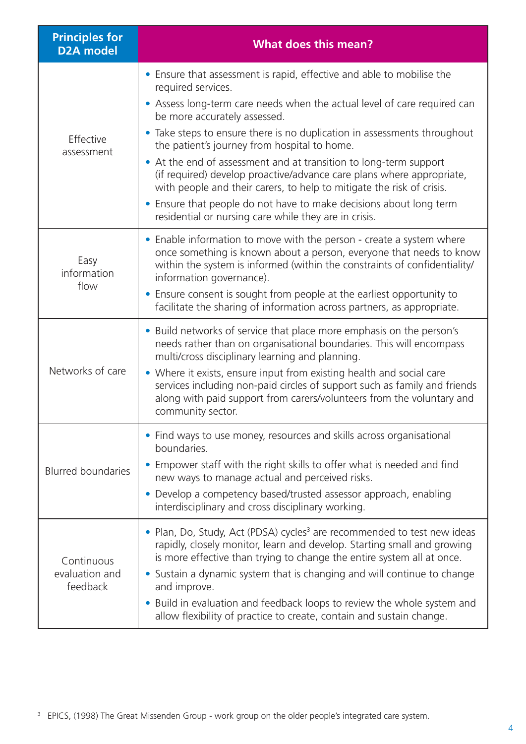| <b>Principles for</b><br><b>D2A</b> model | <b>What does this mean?</b>                                                                                                                                                                                                                                                                                                         |
|-------------------------------------------|-------------------------------------------------------------------------------------------------------------------------------------------------------------------------------------------------------------------------------------------------------------------------------------------------------------------------------------|
| Effective<br>assessment                   | • Ensure that assessment is rapid, effective and able to mobilise the<br>required services.                                                                                                                                                                                                                                         |
|                                           | • Assess long-term care needs when the actual level of care required can<br>be more accurately assessed.                                                                                                                                                                                                                            |
|                                           | • Take steps to ensure there is no duplication in assessments throughout<br>the patient's journey from hospital to home.                                                                                                                                                                                                            |
|                                           | • At the end of assessment and at transition to long-term support<br>(if required) develop proactive/advance care plans where appropriate,<br>with people and their carers, to help to mitigate the risk of crisis.                                                                                                                 |
|                                           | • Ensure that people do not have to make decisions about long term<br>residential or nursing care while they are in crisis.                                                                                                                                                                                                         |
| Easy<br>information<br>flow               | • Enable information to move with the person - create a system where<br>once something is known about a person, everyone that needs to know<br>within the system is informed (within the constraints of confidentiality/<br>information governance).                                                                                |
|                                           | • Ensure consent is sought from people at the earliest opportunity to<br>facilitate the sharing of information across partners, as appropriate.                                                                                                                                                                                     |
| Networks of care                          | • Build networks of service that place more emphasis on the person's<br>needs rather than on organisational boundaries. This will encompass<br>multi/cross disciplinary learning and planning.                                                                                                                                      |
|                                           | • Where it exists, ensure input from existing health and social care<br>services including non-paid circles of support such as family and friends<br>along with paid support from carers/volunteers from the voluntary and<br>community sector.                                                                                     |
| <b>Blurred boundaries</b>                 | • Find ways to use money, resources and skills across organisational<br>boundaries.                                                                                                                                                                                                                                                 |
|                                           | Empower staff with the right skills to offer what is needed and find<br>new ways to manage actual and perceived risks.                                                                                                                                                                                                              |
|                                           | • Develop a competency based/trusted assessor approach, enabling<br>interdisciplinary and cross disciplinary working.                                                                                                                                                                                                               |
| Continuous<br>evaluation and<br>feedback  | • Plan, Do, Study, Act (PDSA) cycles <sup>3</sup> are recommended to test new ideas<br>rapidly, closely monitor, learn and develop. Starting small and growing<br>is more effective than trying to change the entire system all at once.<br>• Sustain a dynamic system that is changing and will continue to change<br>and improve. |
|                                           | Build in evaluation and feedback loops to review the whole system and<br>$\bullet$<br>allow flexibility of practice to create, contain and sustain change.                                                                                                                                                                          |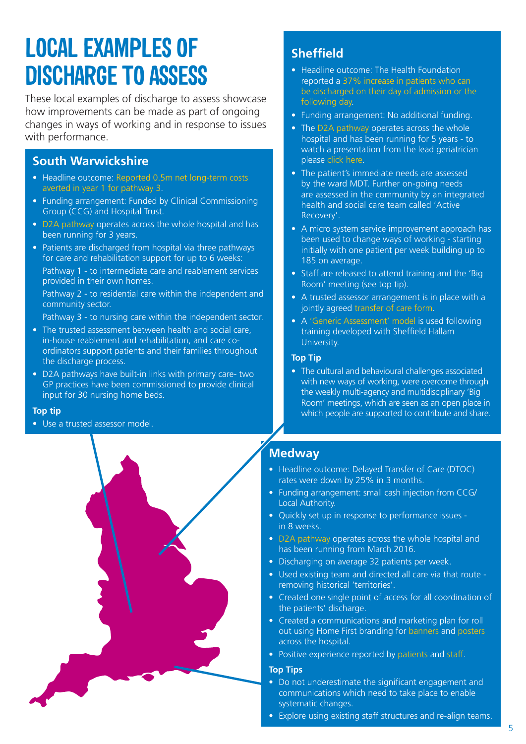### **LOCAL EXAMPLES OF DISCHARGE TO ASSESS**

These local examples of discharge to assess showcase how improvements can be made as part of ongoing changes in ways of working and in response to issues with performance.

### **South Warwickshire**

- Headline outcome: Reported 0.5m net long-term costs [averted in year 1 for pathway 3](http://www.nhs.uk/NHSEngland/keogh-review/Documents/quick-guides/background-docs/2-south-warwickshire-D2A-evaluation-final-ver74.docx).
- Funding arrangement: Funded by Clinical Commissioning Group (CCG) and Hospital Trust.
- [D2A pathway](http://www.nhs.uk/NHSEngland/keogh-review/Documents/quick-guides/background-docs/1-south-warwickshire-D2A-model.pdf) operates across the whole hospital and has been running for 3 years.
- Patients are discharged from hospital via three pathways for care and rehabilitation support for up to 6 weeks:

Pathway 1 - to intermediate care and reablement services provided in their own homes.

Pathway 2 - to residential care within the independent and community sector.

Pathway 3 - to nursing care within the independent sector.

- The trusted assessment between health and social care, in-house reablement and rehabilitation, and care coordinators support patients and their families throughout the discharge process.
- D2A pathways have built-in links with primary care- two GP practices have been commissioned to provide clinical input for 30 nursing home beds.

#### **Top tip**

• Use a trusted assessor model.



### **Sheffield**

- Headline outcome: The Health Foundation reported a [37% increase in patients who can](http://www.health.org.uk/sites/health/files/ImprovingTheFlowOfOlderPeople_casestudy_1.pdf)  [be discharged on their day of admission or the](http://www.health.org.uk/sites/health/files/ImprovingTheFlowOfOlderPeople_casestudy_1.pdf)  [following day.](http://www.health.org.uk/sites/health/files/ImprovingTheFlowOfOlderPeople_casestudy_1.pdf)
- Funding arrangement: No additional funding.
- The [D2A pathway](http://www.google.co.uk/url?sa=t&rct=j&q=&esrc=s&source=web&cd=2&cad=rja&uact=8&ved=0ahUKEwi_yvi09NHNAhVEAsAKHc-hAa8QFgglMAE&url=http%3A%2F%2Fwww.nhsiq.nhs.uk%2Fmedia%2F2489352%2Fsheffield_right_first_time_cs.pdf&usg=AFQjCNFXnpy4f4iQj_VvxbTzPdEVUD7BBQ) operates across the whole hospital and has been running for 5 years - to watch a presentation from the lead geriatrician please [click here](https://www.youtube.com/watch?v=U2bF82tBB24).
- The patient's immediate needs are assessed by the ward MDT. Further on-going needs are assessed in the community by an integrated health and social care team called 'Active Recovery'.
- A micro system service improvement approach has been used to change ways of working - starting initially with one patient per week building up to 185 on average.
- Staff are released to attend training and the 'Big Room' meeting (see top tip).
- A trusted assessor arrangement is in place with a jointly agreed [transfer of care form.](http://winauth.nhs.uk/NHSEngland/keogh-review/Documents/quick-guides/background-docs/sheffield-transfer-of-care-form.docx)
- • A ['Generic Assessment' model](http://www.nhs.uk/NHSEngland/keogh-review/Documents/quick-guides/background-docs/17-SHU-generic-assessor-course.pdf) is used following training developed with Sheffield Hallam University.

#### **Top Tip**

• The cultural and behavioural challenges associated with new ways of working, were overcome through the weekly multi-agency and multidisciplinary 'Big Room' meetings, which are seen as an open place in which people are supported to contribute and share.

### **Medway**

- Headline outcome: Delayed Transfer of Care (DTOC) rates were down by 25% in 3 months.
- Funding arrangement: small cash injection from CCG/ Local Authority.
- Quickly set up in response to performance issues in 8 weeks.
- [D2A pathway](http://www.nhs.uk/NHSEngland/keogh-review/Documents/quick-guides/background-docs/3-medway-D2A-model.docx) operates across the whole hospital and has been running from March 2016.
- Discharging on average 32 patients per week.
- Used existing team and directed all care via that route removing historical 'territories'.
- Created one single point of access for all coordination of the patients' discharge.
- Created a communications and marketing plan for roll out using Home First branding for [banners](http://www.nhs.uk/NHSEngland/keogh-review/Documents/quick-guides/background-docs/4-medway-home-first-banner.jpg) and [posters](http://www.nhs.uk/NHSEngland/keogh-review/Documents/quick-guides/background-docs/5-medway-home-first-poster.pdf) across the hospital.
- Positive experience reported by [patients](http://www.nhs.uk/NHSEngland/keogh-review/Documents/quick-guides/background-docs/6-medway-D2A-patient-feedback.pdf) and [staff.](http://www.nhs.uk/NHSEngland/keogh-review/Documents/quick-guides/background-docs/7-medway-D2A-staff-feedback.pdf)

#### **Top Tips**

- Do not underestimate the significant engagement and communications which need to take place to enable systematic changes.
- Explore using existing staff structures and re-align teams.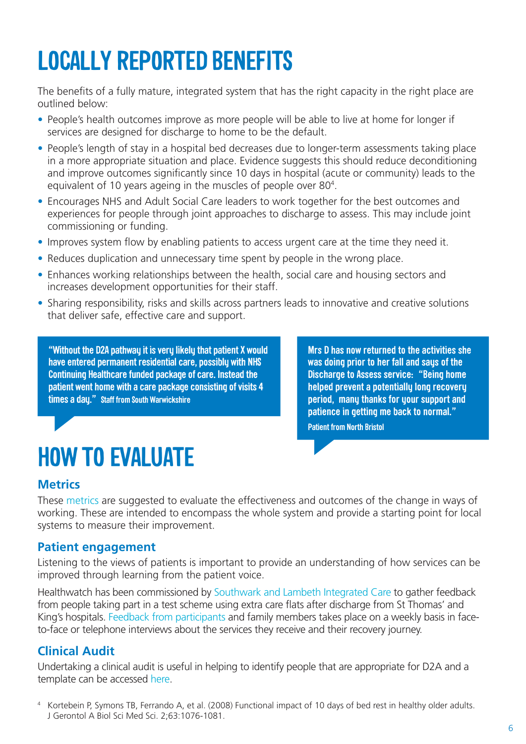# **LOCALLY REPORTED BENEFITS**

The benefits of a fully mature, integrated system that has the right capacity in the right place are outlined below:

- People's health outcomes improve as more people will be able to live at home for longer if services are designed for discharge to home to be the default.
- People's length of stay in a hospital bed decreases due to longer-term assessments taking place in a more appropriate situation and place. Evidence suggests this should reduce deconditioning and improve outcomes significantly since 10 days in hospital (acute or community) leads to the equivalent of 10 years ageing in the muscles of people over 80<sup>4</sup>.
- Encourages NHS and Adult Social Care leaders to work together for the best outcomes and experiences for people through joint approaches to discharge to assess. This may include joint commissioning or funding.
- Improves system flow by enabling patients to access urgent care at the time they need it.
- Reduces duplication and unnecessary time spent by people in the wrong place.
- Enhances working relationships between the health, social care and housing sectors and increases development opportunities for their staff.
- Sharing responsibility, risks and skills across partners leads to innovative and creative solutions that deliver safe, effective care and support.

**"Without the D2A pathway it is very likely that patient X would have entered permanent residential care, possibly with NHS Continuing Healthcare funded package of care. Instead the patient went home with a care package consisting of visits 4 times a day." Staff from South Warwickshire**

**Mrs D has now returned to the activities she was doing prior to her fall and says of the Discharge to Assess service: "Being home helped prevent a potentially long recovery period, many thanks for your support and patience in getting me back to normal."**

**Patient from North Bristol**

## **HOW TO EVALUATE**

### **Metrics**

These [metrics](http://www.nhs.uk/NHSEngland/keogh-review/Documents/quick-guides/background-docs/31-metrics.docx) are suggested to evaluate the effectiveness and outcomes of the change in ways of working. These are intended to encompass the whole system and provide a starting point for local systems to measure their improvement.

#### **Patient engagement**

Listening to the views of patients is important to provide an understanding of how services can be improved through learning from the patient voice.

Healthwatch has been commissioned by [Southwark and Lambeth Integrated Care](http://www.southwark.gov.uk/info/100010/health_and_social_care/2965/southwark_and_lambeth_integrated_care_programme) to gather feedback from people taking part in a test scheme using extra care flats after discharge from St Thomas' and King's hospitals. [Feedback from participants](http://www.nhs.uk/NHSEngland/keogh-review/Documents/quick-guides/background-docs/32-HW-lambeth-participants-Aug16.docx) and family members takes place on a weekly basis in faceto-face or telephone interviews about the services they receive and their recovery journey.

### **Clinical Audit**

Undertaking a clinical audit is useful in helping to identify people that are appropriate for D2A and a template can be accessed [here](http://www.nhs.uk/NHSEngland/keogh-review/Documents/quick-guides/background-docs/16-south-warwickshire-guide-for-clinicans.docx).

<sup>4</sup> Kortebein P, Symons TB, Ferrando A, et al. (2008) Functional impact of 10 days of bed rest in healthy older adults. J Gerontol A Biol Sci Med Sci. 2;63:1076-1081.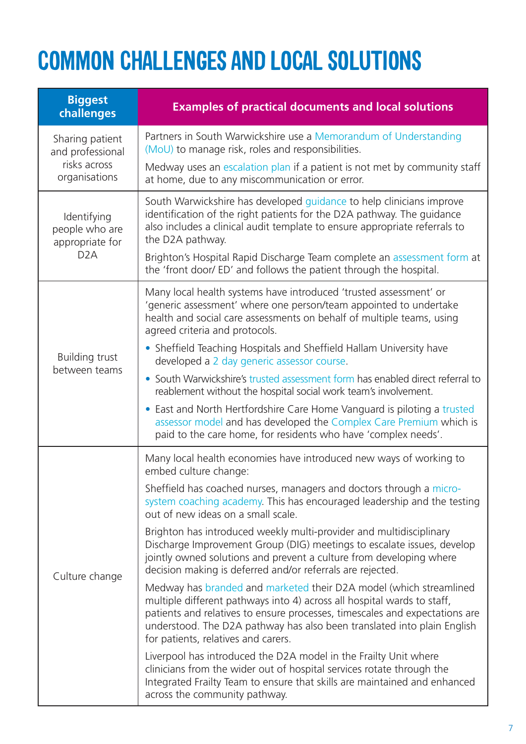### **COMMON CHALLENGES AND LOCAL SOLUTIONS**

| <b>Biggest</b><br>challenges                                         | <b>Examples of practical documents and local solutions</b>                                                                                                                                                                                                                                                                                     |
|----------------------------------------------------------------------|------------------------------------------------------------------------------------------------------------------------------------------------------------------------------------------------------------------------------------------------------------------------------------------------------------------------------------------------|
| Sharing patient<br>and professional<br>risks across<br>organisations | Partners in South Warwickshire use a Memorandum of Understanding<br>(MoU) to manage risk, roles and responsibilities.                                                                                                                                                                                                                          |
|                                                                      | Medway uses an escalation plan if a patient is not met by community staff<br>at home, due to any miscommunication or error.                                                                                                                                                                                                                    |
| Identifying<br>people who are<br>appropriate for<br>D <sub>2</sub> A | South Warwickshire has developed guidance to help clinicians improve<br>identification of the right patients for the D2A pathway. The guidance<br>also includes a clinical audit template to ensure appropriate referrals to<br>the D2A pathway.                                                                                               |
|                                                                      | Brighton's Hospital Rapid Discharge Team complete an assessment form at<br>the 'front door/ ED' and follows the patient through the hospital.                                                                                                                                                                                                  |
| Building trust                                                       | Many local health systems have introduced 'trusted assessment' or<br>'generic assessment' where one person/team appointed to undertake<br>health and social care assessments on behalf of multiple teams, using<br>agreed criteria and protocols.                                                                                              |
|                                                                      | • Sheffield Teaching Hospitals and Sheffield Hallam University have<br>developed a 2 day generic assessor course.                                                                                                                                                                                                                              |
| between teams                                                        | • South Warwickshire's trusted assessment form has enabled direct referral to<br>reablement without the hospital social work team's involvement.                                                                                                                                                                                               |
|                                                                      | • East and North Hertfordshire Care Home Vanguard is piloting a trusted<br>assessor model and has developed the Complex Care Premium which is<br>paid to the care home, for residents who have 'complex needs'.                                                                                                                                |
|                                                                      | Many local health economies have introduced new ways of working to<br>embed culture change:                                                                                                                                                                                                                                                    |
| Culture change                                                       | Sheffield has coached nurses, managers and doctors through a micro-<br>system coaching academy. This has encouraged leadership and the testing<br>out of new ideas on a small scale.                                                                                                                                                           |
|                                                                      | Brighton has introduced weekly multi-provider and multidisciplinary<br>Discharge Improvement Group (DIG) meetings to escalate issues, develop<br>jointly owned solutions and prevent a culture from developing where<br>decision making is deferred and/or referrals are rejected.                                                             |
|                                                                      | Medway has branded and marketed their D2A model (which streamlined<br>multiple different pathways into 4) across all hospital wards to staff,<br>patients and relatives to ensure processes, timescales and expectations are<br>understood. The D2A pathway has also been translated into plain English<br>for patients, relatives and carers. |
|                                                                      | Liverpool has introduced the D2A model in the Frailty Unit where<br>clinicians from the wider out of hospital services rotate through the<br>Integrated Frailty Team to ensure that skills are maintained and enhanced<br>across the community pathway.                                                                                        |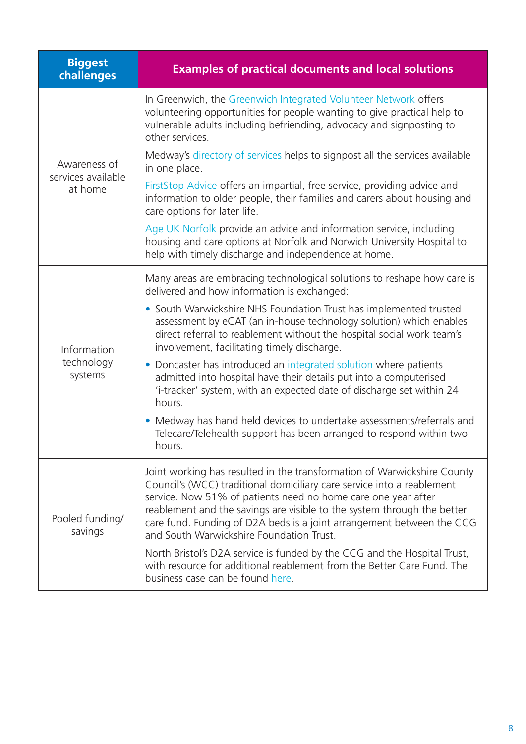| <b>Biggest</b><br>challenges                  | <b>Examples of practical documents and local solutions</b>                                                                                                                                                                                                                                                                                                                                                         |
|-----------------------------------------------|--------------------------------------------------------------------------------------------------------------------------------------------------------------------------------------------------------------------------------------------------------------------------------------------------------------------------------------------------------------------------------------------------------------------|
| Awareness of<br>services available<br>at home | In Greenwich, the Greenwich Integrated Volunteer Network offers<br>volunteering opportunities for people wanting to give practical help to<br>vulnerable adults including befriending, advocacy and signposting to<br>other services.                                                                                                                                                                              |
|                                               | Medway's directory of services helps to signpost all the services available<br>in one place.                                                                                                                                                                                                                                                                                                                       |
|                                               | FirstStop Advice offers an impartial, free service, providing advice and<br>information to older people, their families and carers about housing and<br>care options for later life.                                                                                                                                                                                                                               |
|                                               | Age UK Norfolk provide an advice and information service, including<br>housing and care options at Norfolk and Norwich University Hospital to<br>help with timely discharge and independence at home.                                                                                                                                                                                                              |
|                                               | Many areas are embracing technological solutions to reshape how care is<br>delivered and how information is exchanged:                                                                                                                                                                                                                                                                                             |
| Information<br>technology<br>systems          | • South Warwickshire NHS Foundation Trust has implemented trusted<br>assessment by eCAT (an in-house technology solution) which enables<br>direct referral to reablement without the hospital social work team's<br>involvement, facilitating timely discharge.                                                                                                                                                    |
|                                               | • Doncaster has introduced an integrated solution where patients<br>admitted into hospital have their details put into a computerised<br>'i-tracker' system, with an expected date of discharge set within 24<br>hours.                                                                                                                                                                                            |
|                                               | • Medway has hand held devices to undertake assessments/referrals and<br>Telecare/Telehealth support has been arranged to respond within two<br>hours.                                                                                                                                                                                                                                                             |
| Pooled funding/<br>savings                    | Joint working has resulted in the transformation of Warwickshire County<br>Council's (WCC) traditional domiciliary care service into a reablement<br>service. Now 51% of patients need no home care one year after<br>reablement and the savings are visible to the system through the better<br>care fund. Funding of D2A beds is a joint arrangement between the CCG<br>and South Warwickshire Foundation Trust. |
|                                               | North Bristol's D2A service is funded by the CCG and the Hospital Trust,<br>with resource for additional reablement from the Better Care Fund. The<br>business case can be found here.                                                                                                                                                                                                                             |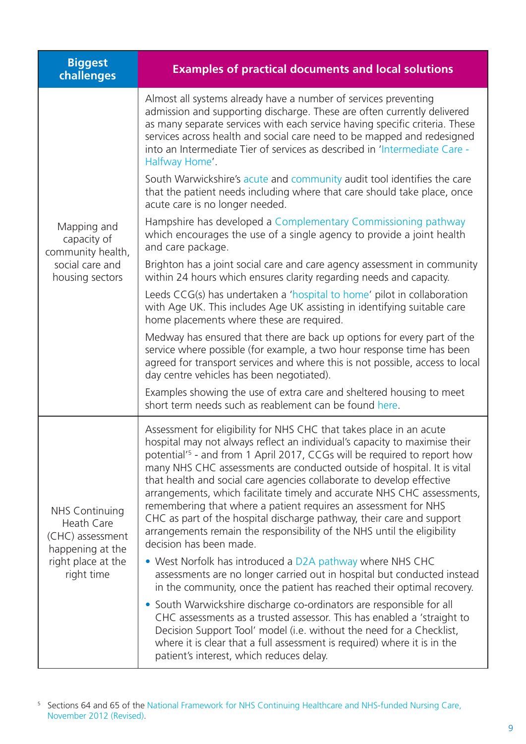| <b>Biggest</b><br>challenges                                                                                    | <b>Examples of practical documents and local solutions</b>                                                                                                                                                                                                                                                                                                                                                                                                                                                                                                                                                                                                                                                                 |
|-----------------------------------------------------------------------------------------------------------------|----------------------------------------------------------------------------------------------------------------------------------------------------------------------------------------------------------------------------------------------------------------------------------------------------------------------------------------------------------------------------------------------------------------------------------------------------------------------------------------------------------------------------------------------------------------------------------------------------------------------------------------------------------------------------------------------------------------------------|
| Mapping and<br>capacity of<br>community health,<br>social care and<br>housing sectors                           | Almost all systems already have a number of services preventing<br>admission and supporting discharge. These are often currently delivered<br>as many separate services with each service having specific criteria. These<br>services across health and social care need to be mapped and redesigned<br>into an Intermediate Tier of services as described in 'Intermediate Care -<br>Halfway Home'.                                                                                                                                                                                                                                                                                                                       |
|                                                                                                                 | South Warwickshire's acute and community audit tool identifies the care<br>that the patient needs including where that care should take place, once<br>acute care is no longer needed.                                                                                                                                                                                                                                                                                                                                                                                                                                                                                                                                     |
|                                                                                                                 | Hampshire has developed a Complementary Commissioning pathway<br>which encourages the use of a single agency to provide a joint health<br>and care package.                                                                                                                                                                                                                                                                                                                                                                                                                                                                                                                                                                |
|                                                                                                                 | Brighton has a joint social care and care agency assessment in community<br>within 24 hours which ensures clarity regarding needs and capacity.                                                                                                                                                                                                                                                                                                                                                                                                                                                                                                                                                                            |
|                                                                                                                 | Leeds CCG(s) has undertaken a 'hospital to home' pilot in collaboration<br>with Age UK. This includes Age UK assisting in identifying suitable care<br>home placements where these are required.                                                                                                                                                                                                                                                                                                                                                                                                                                                                                                                           |
|                                                                                                                 | Medway has ensured that there are back up options for every part of the<br>service where possible (for example, a two hour response time has been<br>agreed for transport services and where this is not possible, access to local<br>day centre vehicles has been negotiated).                                                                                                                                                                                                                                                                                                                                                                                                                                            |
|                                                                                                                 | Examples showing the use of extra care and sheltered housing to meet<br>short term needs such as reablement can be found here.                                                                                                                                                                                                                                                                                                                                                                                                                                                                                                                                                                                             |
| <b>NHS Continuing</b><br>Heath Care<br>(CHC) assessment<br>happening at the<br>right place at the<br>right time | Assessment for eligibility for NHS CHC that takes place in an acute<br>hospital may not always reflect an individual's capacity to maximise their<br>potential <sup>'5</sup> - and from 1 April 2017, CCGs will be required to report how<br>many NHS CHC assessments are conducted outside of hospital. It is vital<br>that health and social care agencies collaborate to develop effective<br>arrangements, which facilitate timely and accurate NHS CHC assessments,<br>remembering that where a patient requires an assessment for NHS<br>CHC as part of the hospital discharge pathway, their care and support<br>arrangements remain the responsibility of the NHS until the eligibility<br>decision has been made. |
|                                                                                                                 | • West Norfolk has introduced a D2A pathway where NHS CHC<br>assessments are no longer carried out in hospital but conducted instead<br>in the community, once the patient has reached their optimal recovery.                                                                                                                                                                                                                                                                                                                                                                                                                                                                                                             |
|                                                                                                                 | • South Warwickshire discharge co-ordinators are responsible for all<br>CHC assessments as a trusted assessor. This has enabled a 'straight to<br>Decision Support Tool' model (i.e. without the need for a Checklist,<br>where it is clear that a full assessment is required) where it is in the<br>patient's interest, which reduces delay.                                                                                                                                                                                                                                                                                                                                                                             |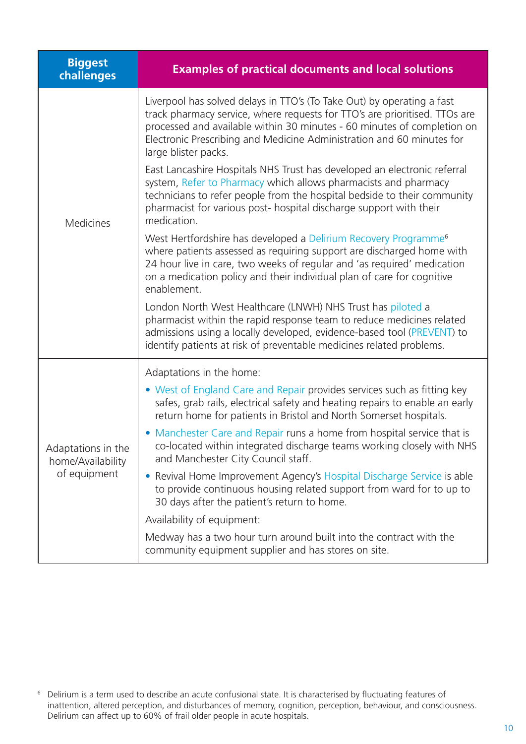| <b>Biggest</b><br>challenges                            | <b>Examples of practical documents and local solutions</b>                                                                                                                                                                                                                                                                       |
|---------------------------------------------------------|----------------------------------------------------------------------------------------------------------------------------------------------------------------------------------------------------------------------------------------------------------------------------------------------------------------------------------|
| <b>Medicines</b>                                        | Liverpool has solved delays in TTO's (To Take Out) by operating a fast<br>track pharmacy service, where requests for TTO's are prioritised. TTOs are<br>processed and available within 30 minutes - 60 minutes of completion on<br>Electronic Prescribing and Medicine Administration and 60 minutes for<br>large blister packs. |
|                                                         | East Lancashire Hospitals NHS Trust has developed an electronic referral<br>system, Refer to Pharmacy which allows pharmacists and pharmacy<br>technicians to refer people from the hospital bedside to their community<br>pharmacist for various post- hospital discharge support with their<br>medication.                     |
|                                                         | West Hertfordshire has developed a Delirium Recovery Programme <sup>6</sup><br>where patients assessed as requiring support are discharged home with<br>24 hour live in care, two weeks of regular and 'as required' medication<br>on a medication policy and their individual plan of care for cognitive<br>enablement.         |
|                                                         | London North West Healthcare (LNWH) NHS Trust has piloted a<br>pharmacist within the rapid response team to reduce medicines related<br>admissions using a locally developed, evidence-based tool (PREVENT) to<br>identify patients at risk of preventable medicines related problems.                                           |
|                                                         | Adaptations in the home:                                                                                                                                                                                                                                                                                                         |
| Adaptations in the<br>home/Availability<br>of equipment | • West of England Care and Repair provides services such as fitting key<br>safes, grab rails, electrical safety and heating repairs to enable an early<br>return home for patients in Bristol and North Somerset hospitals.                                                                                                      |
|                                                         | • Manchester Care and Repair runs a home from hospital service that is<br>co-located within integrated discharge teams working closely with NHS<br>and Manchester City Council staff.                                                                                                                                            |
|                                                         | Revival Home Improvement Agency's Hospital Discharge Service is able<br>$\bullet$<br>to provide continuous housing related support from ward for to up to<br>30 days after the patient's return to home.                                                                                                                         |
|                                                         | Availability of equipment:                                                                                                                                                                                                                                                                                                       |
|                                                         | Medway has a two hour turn around built into the contract with the<br>community equipment supplier and has stores on site.                                                                                                                                                                                                       |

 $^6$  Delirium is a term used to describe an acute confusional state. It is characterised by fluctuating features of inattention, altered perception, and disturbances of memory, cognition, perception, behaviour, and consciousness. Delirium can affect up to 60% of frail older people in acute hospitals.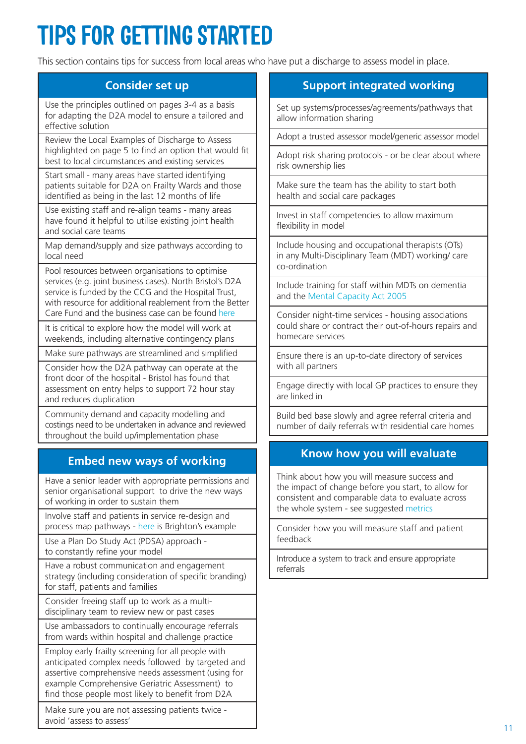# **TIPS FOR GETTING STARTED**

This section contains tips for success from local areas who have put a discharge to assess model in place.

#### **Consider set up**

Use the principles outlined on pages 3-4 as a basis for adapting the D2A model to ensure a tailored and effective solution

Review the Local Examples of Discharge to Assess highlighted on page 5 to find an option that would fit best to local circumstances and existing services

Start small - many areas have started identifying patients suitable for D2A on Frailty Wards and those identified as being in the last 12 months of life

Use existing staff and re-align teams - many areas have found it helpful to utilise existing joint health and social care teams

Map demand/supply and size pathways according to local need

Pool resources between organisations to optimise services (e.g. joint business cases). North Bristol's D2A service is funded by the CCG and the Hospital Trust, with resource for additional reablement from the Better Care Fund and the business case can be found [here](http://www.nhs.uk/NHSEngland/keogh-review/Documents/quick-guides/background-docs/10-south-gloucestershire-D2A-business-case-v012.docx)

It is critical to explore how the model will work at weekends, including alternative contingency plans

Make sure pathways are streamlined and simplified

Consider how the D2A pathway can operate at the front door of the hospital - Bristol has found that assessment on entry helps to support 72 hour stay and reduces duplication

Community demand and capacity modelling and costings need to be undertaken in advance and reviewed throughout the build up/implementation phase

### **Embed new ways of working**

Have a senior leader with appropriate permissions and senior organisational support to drive the new ways of working in order to sustain them

Involve staff and patients in service re-design and process map pathways - [here](http://www.nhs.uk/NHSEngland/keogh-review/Documents/quick-guides/background-docs/9-brighton-D2A-jowers-ward-process-map.pdf) is Brighton's example

Use a Plan Do Study Act (PDSA) approach to constantly refine your model

Have a robust communication and engagement strategy (including consideration of specific branding) for staff, patients and families

Consider freeing staff up to work as a multidisciplinary team to review new or past cases

Use ambassadors to continually encourage referrals from wards within hospital and challenge practice

Employ early frailty screening for all people with anticipated complex needs followed by targeted and assertive comprehensive needs assessment (using for example Comprehensive Geriatric Assessment) to find those people most likely to benefit from D2A

Make sure you are not assessing patients twice avoid 'assess to assess'

### **Support integrated working**

Set up systems/processes/agreements/pathways that allow information sharing

Adopt a trusted assessor model/generic assessor model

Adopt risk sharing protocols - or be clear about where risk ownership lies

Make sure the team has the ability to start both health and social care packages

Invest in staff competencies to allow maximum flexibility in model

Include housing and occupational therapists (OTs) in any Multi-Disciplinary Team (MDT) working/ care co-ordination

Include training for staff within MDTs on dementia and the [Mental Capacity Act 2005](https://www.gov.uk/government/publications/mental-capacity-act-code-of-practice)

Consider night-time services - housing associations could share or contract their out-of-hours repairs and homecare services

Ensure there is an up-to-date directory of services with all partners

Engage directly with local GP practices to ensure they are linked in

Build bed base slowly and agree referral criteria and number of daily referrals with residential care homes

#### **Know how you will evaluate**

Think about how you will measure success and the impact of change before you start, to allow for consistent and comparable data to evaluate across the whole system - see suggested [metrics](http://www.nhs.uk/NHSEngland/keogh-review/Documents/quick-guides/background-docs/31-metrics.docx)

Consider how you will measure staff and patient feedback

Introduce a system to track and ensure appropriate referrals